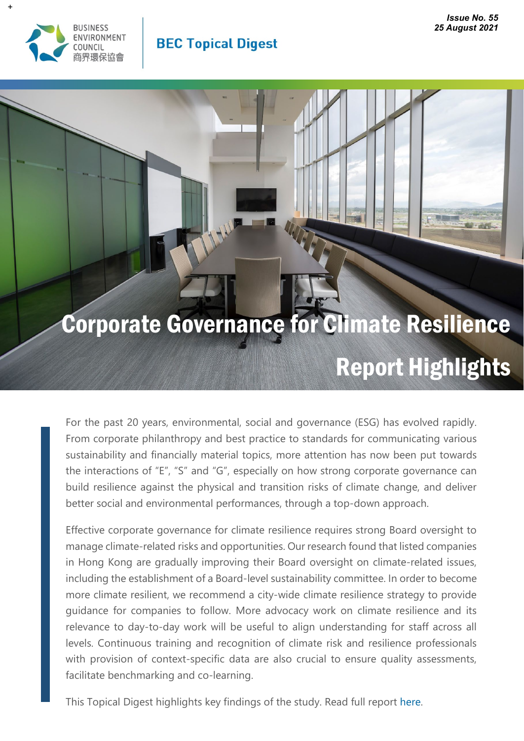

### **BEC Topical Digest**

# Corporate Governance for Climate Resilience Report Highlights

For the past 20 years, environmental, social and governance (ESG) has evolved rapidly. From corporate philanthropy and best practice to standards for communicating various sustainability and financially material topics, more attention has now been put towards the interactions of "E", "S" and "G", especially on how strong corporate governance can build resilience against the physical and transition risks of climate change, and deliver better social and environmental performances, through a top-down approach.

Effective corporate governance for climate resilience requires strong Board oversight to manage climate-related risks and opportunities. Our research found that listed companies in Hong Kong are gradually improving their Board oversight on climate-related issues, including the establishment of a Board-level sustainability committee. In order to become more climate resilient, we recommend a city-wide climate resilience strategy to provide guidance for companies to follow. More advocacy work on climate resilience and its relevance to day-to-day work will be useful to align understanding for staff across all levels. Continuous training and recognition of climate risk and resilience professionals with provision of context-specific data are also crucial to ensure quality assessments, facilitate benchmarking and co-learning.

This Topical Digest highlights key findings of the study. Read full report [here.](https://www.bec.org.hk/sites/default/files/publications/Corporate_Governance_for_Climate_Resilience_final.pdf)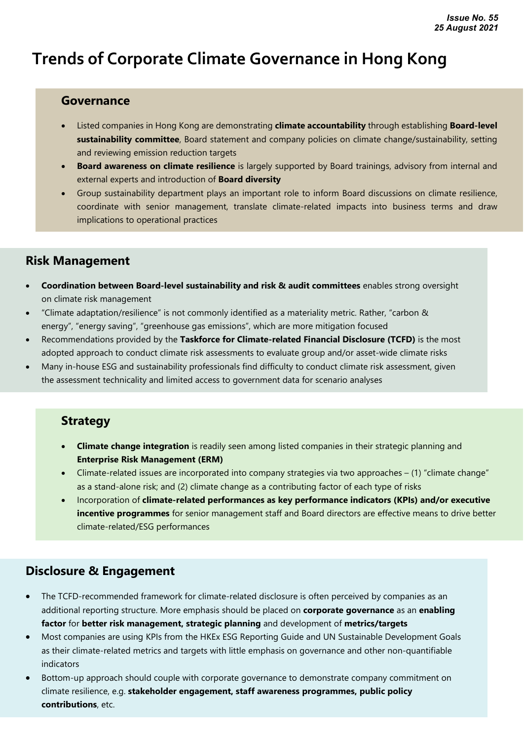## **Trends of Corporate Climate Governance in Hong Kong**

#### **Governance**

- Listed companies in Hong Kong are demonstrating **climate accountability** through establishing **Board-level sustainability committee**, Board statement and company policies on climate change/sustainability, setting and reviewing emission reduction targets
- **Board awareness on climate resilience** is largely supported by Board trainings, advisory from internal and external experts and introduction of **Board diversity**
- Group sustainability department plays an important role to inform Board discussions on climate resilience, coordinate with senior management, translate climate-related impacts into business terms and draw implications to operational practices

#### **Risk Management**

- **Coordination between Board-level sustainability and risk & audit committees** enables strong oversight on climate risk management
- "Climate adaptation/resilience" is not commonly identified as a materiality metric. Rather, "carbon & energy", "energy saving", "greenhouse gas emissions", which are more mitigation focused
- Recommendations provided by the **Taskforce for Climate-related Financial Disclosure (TCFD)** is the most adopted approach to conduct climate risk assessments to evaluate group and/or asset-wide climate risks
- Many in-house ESG and sustainability professionals find difficulty to conduct climate risk assessment, given the assessment technicality and limited access to government data for scenario analyses

#### **Strategy**

- **Climate change integration** is readily seen among listed companies in their strategic planning and **Enterprise Risk Management (ERM)**
- Climate-related issues are incorporated into company strategies via two approaches (1) "climate change" as a stand-alone risk; and (2) climate change as a contributing factor of each type of risks
- Incorporation of **climate-related performances as key performance indicators (KPIs) and/or executive incentive programmes** for senior management staff and Board directors are effective means to drive better climate-related/ESG performances

#### **Disclosure & Engagement**

- The TCFD-recommended framework for climate-related disclosure is often perceived by companies as an additional reporting structure. More emphasis should be placed on **corporate governance** as an **enabling factor** for **better risk management, strategic planning** and development of **metrics/targets**
- Most companies are using KPIs from the HKEx ESG Reporting Guide and UN Sustainable Development Goals as their climate-related metrics and targets with little emphasis on governance and other non-quantifiable indicators
- Bottom-up approach should couple with corporate governance to demonstrate company commitment on climate resilience, e.g. **stakeholder engagement, staff awareness programmes, public policy contributions**, etc.